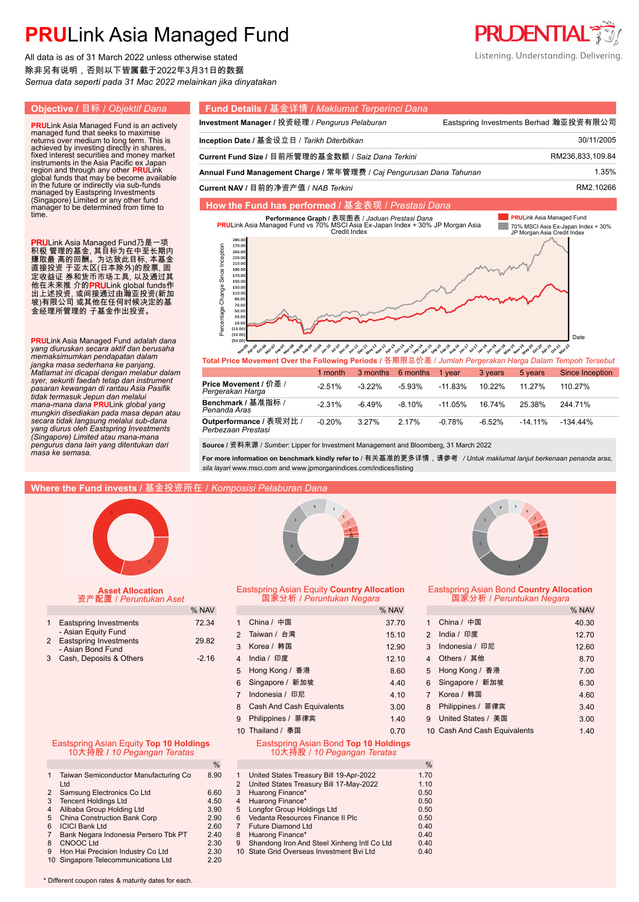All data is as of 31 March 2022 unless otherwise stated 除非另有说明,否则以下皆属截于2022年3月31日的数据 *Semua data seperti pada 31 Mac 2022 melainkan jika dinyatakan*

time.

#### **Objective /** 目标 / *Objektif Dana* **Fund Details /** 基金详情 / *Maklumat Terperinci Dana* **Investment Manager / 投资经理 / Pengurus Pelaburan Frame Eastspring Investments Berhad 瀚亚投资有限公司 PRU**Link Asia Managed Fund is an actively managed fund that seeks to maximise returns over medium to long term. This is achieved by investing directly in shares, **Inception Date /** 基金设立日 / *Tarikh Diterbitkan* 30/11/2005. **Current Fund Size /** 目前所管理的基金数额 / *Saiz Dana Terkini* RM236,833,109.84. fixed interest securities and money market instruments in the Asia Pacific ex Japan region and through any other **PRU**Link<br>global funds that may be become available<br>in the future or indirectly via sub-funds<br>managed by Eastspring Investments<br>(Singapore) Limited or any other fund<br>manager to be determined fr Annual Fund Management Charge / 常年管理费 / Caj Pengurusan Dana Tahunan 1988 1999 1.35% **Current NAV /** 目前的净资产值 / *NAB Terkini* RM2.10266. **How the Fund has performed /** 基金表现 / *Prestasi Dana* **PRULink Asia Managed Fund PRULink Asia Managed Fund vs 70% MB表 /** *Jaduan Prestasi Dana***<br>PRULink Asia Managed Fund vs 70% MSCI Asia Ex-Japan Index + 30% JP Morgan Asia<br>Credit Index Tale** *.* 70% MSCI Asia Ex-Japan Index + 30% JP Morgan Asia Credit Index PRULink Asia Managed Fund乃是一项  $270.0$ Percentage Change Since Inception Percentage Change Since Inception  $250.0$ 积极 管理的基金, 其目标为在中至长期内 230.0 赚取最 高的回酬。为达致此目标, 本基金  $210.0$ 直接投资 于亚太区(日本除外)的股票, 固  $190.0$ 170.0 定收益证 券和货币市场工具, 以及通过其  $150.0$ 他在未来推 介的**PRU**Link global funds作  $130.0$  $110.0$ 出上述投资, 或间接通过由瀚亚投资(新加  $90.1$ 坡)有限公司 或其他在任何时候决定的基 70.C 金经理所管理的 子基金作出投资。 30.  $\overline{10}$  $(10.0)$  $(30.0)$ **PRU**Link Asia Managed Fund *adalah dana*  Date *yang diuruskan secara aktif dan berusaha memaksimumkan pendapatan dalam*  **Total Price Movement Over the Following Periods /** 各期限总价差 / *Jumlah Pergerakan Harga Dalam Tempoh Tersebut jangka masa sederhana ke panjang.*

|                                               | 1 month   | 3 months  | 6 months  | 1 vear     | 3 years   | 5 years    | Since Inception |
|-----------------------------------------------|-----------|-----------|-----------|------------|-----------|------------|-----------------|
| Price Movement / 价差 /<br>Pergerakan Harga     | $-2.51\%$ | $-3.22\%$ | $-5.93%$  | $-11.83\%$ | $10.22\%$ | 11 27%     | 110 27%         |
| Benchmark / 基准指标 /<br>Penanda Aras            | $-2.31\%$ | $-6.49%$  | $-8.10\%$ | $-11.05\%$ | 16 74%    | 25.38%     | 244 71%         |
| Outperformance / 表现对比 /<br>Perbezaan Prestasi | $-0.20%$  | 3 27%     | 2 17%     | $-0.78%$   | $-6.52%$  | $-14.11\%$ | $-134.44\%$     |

**Source /** 资料来源 / *Sumber*: Lipper for Investment Management and Bloomberg, 31 March 2022

**For more information on benchmark kindly refer to** / 有关基准的更多详情,请参考 */ Untuk maklumat lanjut berkenaan penanda aras, sila layari* www.msci.com and www.jpmorganindices.com/indices/listing

### **Where the Fund invests /** 基金投资所在 / *Komposisi Pelaburan Dana*



*Matlamat ini dicapai dengan melabur dalam syer, sekuriti faedah tetap dan instrument pasaran kewangan di rantau Asia Pasifik tidak termasuk Jepun dan melalui mana-mana dana* **PRU**Link *global yang mungkin disediakan pada masa depan atau secara tidak langsung melalui sub-dana yang diurus oleh Eastspring Investments (Singapore) Limited atau mana-mana pengurus dana lain yang ditentukan dari* 

*masa ke semasa.*

## **Asset Allocation** 资产配置 / *Peruntukan Aset*

| 1 Eastspring Investments                        | 72 34   |
|-------------------------------------------------|---------|
| - Asian Equity Fund<br>2 Eastspring Investments | 29.82   |
| - Asian Bond Fund                               |         |
| 3 Cash, Deposits & Others                       | $-2.16$ |

### Eastspring Asian Equity **Top 10 Holdings** 10大持股 **/** *10 Pegangan Teratas*

|   | Taiwan Semiconductor Manufacturing Co | 8.90 |
|---|---------------------------------------|------|
| 2 | Ltd<br>Samsung Electronics Co Ltd     | 6.60 |
|   |                                       |      |
| 3 | <b>Tencent Holdings Ltd</b>           | 4.50 |
| 4 | Alibaba Group Holding Ltd             | 3.90 |
| 5 | China Construction Bank Corp          | 2.90 |
| 6 | <b>ICICI Bank Ltd</b>                 | 2.60 |
| 7 | Bank Negara Indonesia Persero Tbk PT  | 2.40 |
| 8 | CNOOC Ltd                             | 2.30 |
| 9 | Hon Hai Precision Industry Co Ltd     | 2.30 |
|   | 10 Singapore Telecommunications Ltd   | 2.20 |
|   |                                       |      |



#### Eastspring Asian Equity **Country Allocation** 国家分析 / *Peruntukan Negara*

| % NAV   |                                       | % NAV |   |                              | % NAV |
|---------|---------------------------------------|-------|---|------------------------------|-------|
| 72.34   | China / 中国                            | 37.70 | 1 | China / 中国                   | 40.30 |
| 29.82   | 2 Taiwan / 台湾                         | 15.10 |   | 2 India / 印度                 | 12.70 |
|         | 3 Korea / 韩国                          | 12.90 |   | 3 Indonesia / 印尼             | 12.60 |
| $-2.16$ | 4 India / 印度                          | 12.10 |   | 4 Others / 其他                | 8.70  |
|         | 5 Hong Kong / 香港                      | 8.60  |   | 5 Hong Kong / 香港             | 7.00  |
|         | 6 Singapore / 新加坡                     | 4.40  |   | 6 Singapore / 新加坡            | 6.30  |
|         | Indonesia / 印尼                        | 4.10  |   | 7 Korea / 韩国                 | 4.60  |
|         | 8 Cash And Cash Equivalents           | 3.00  |   | 8 Philippines / 菲律宾          | 3.40  |
|         | 9 Philippines / 菲律宾                   | 1.40  |   | 9 United States / 美国         | 3.00  |
|         | 10 Thailand / 泰国                      | 0.70  |   | 10 Cash And Cash Equivalents | 1.40  |
| lings   | Eastspring Asian Bond Top 10 Holdings |       |   |                              |       |

10大持股 / *10 Pegangan Teratas*

| %  |   |                                             | $\%$ |
|----|---|---------------------------------------------|------|
| 90 |   | United States Treasury Bill 19-Apr-2022     | 1.70 |
|    | 2 | United States Treasury Bill 17-May-2022     | 1.10 |
| 60 | 3 | Huarong Finance*                            | 0.50 |
| 50 | 4 | Huarong Finance*                            | 0.50 |
| 90 | 5 | <b>Longfor Group Holdings Ltd</b>           | 0.50 |
| 90 | 6 | Vedanta Resources Finance II Plc            | 0.50 |
| 60 |   | <b>Future Diamond Ltd</b>                   | 0.40 |
| 40 | 8 | Huarong Finance*                            | 0.40 |
| 30 | 9 | Shandong Iron And Steel Xinheng Intl Co Ltd | 0.40 |
| 30 |   | 10 State Grid Overseas Investment Byi Ltd   | 0.40 |
|    |   |                                             |      |



#### Eastspring Asian Bond **Country Allocation** 国家分析 / *Peruntukan Negara*

|                |                              | % NAV |
|----------------|------------------------------|-------|
| $\mathbf{1}$   | China / 中国                   | 40.30 |
| $\mathcal{P}$  | India / 印度                   | 12.70 |
| 3              | Indonesia / 印尼               | 12.60 |
| 4              | Others / 其他                  | 8.70  |
| 5              | Hong Kong / 香港               | 7.00  |
| 6              | Singapore / 新加坡              | 6.30  |
| $\overline{7}$ | Korea / 韩国                   | 4.60  |
| 8              | Philippines / 菲律宾            | 3.40  |
| 9              | United States / 美国           | 3.00  |
|                | 10 Cash And Cash Equivalents | 1.40  |



**PRUDENTIAL®** 

\* Different coupon rates & maturity dates for each.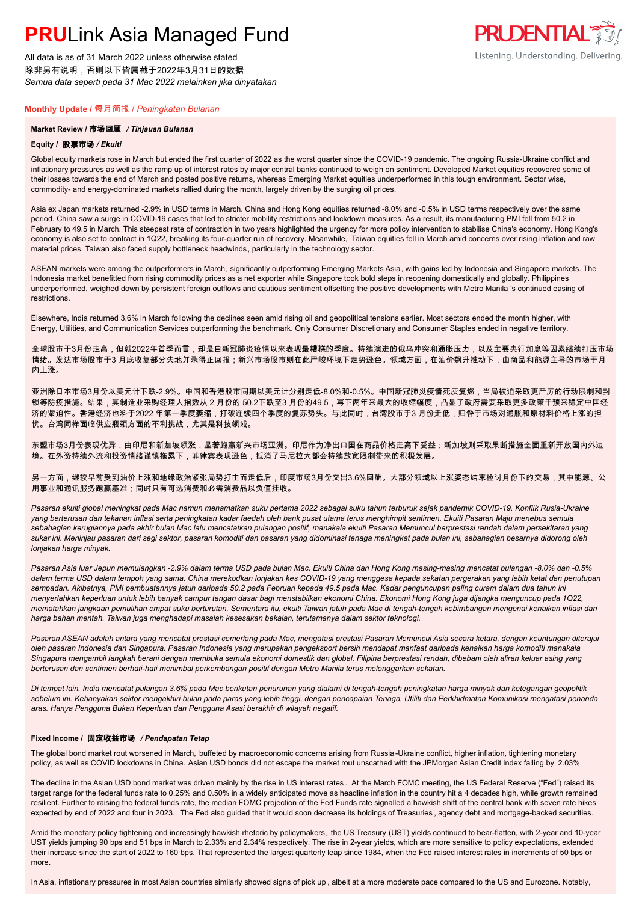All data is as of 31 March 2022 unless otherwise stated 除非另有说明,否则以下皆属截于2022年3月31日的数据 *Semua data seperti pada 31 Mac 2022 melainkan jika dinyatakan*

### **Monthly Update /** 每月简报 / *Peningkatan Bulanan*

### **Market Review /** 市场回顾 */ Tinjauan Bulanan*

### **Equity /** 股票市场 */ Ekuiti .*

Global equity markets rose in March but ended the first quarter of 2022 as the worst quarter since the COVID-19 pandemic. The ongoing Russia-Ukraine conflict and inflationary pressures as well as the ramp up of interest rates by major central banks continued to weigh on sentiment. Developed Market equities recovered some of their losses towards the end of March and posted positive returns, whereas Emerging Market equities underperformed in this tough environment. Sector wise, commodity- and energy-dominated markets rallied during the month, largely driven by the surging oil prices.

Asia ex Japan markets returned -2.9% in USD terms in March. China and Hong Kong equities returned -8.0% and -0.5% in USD terms respectively over the same period. China saw a surge in COVID-19 cases that led to stricter mobility restrictions and lockdown measures. As a result, its manufacturing PMI fell from 50.2 in February to 49.5 in March. This steepest rate of contraction in two years highlighted the urgency for more policy intervention to stabilise China's economy. Hong Kong's economy is also set to contract in 1Q22, breaking its four-quarter run of recovery. Meanwhile, Taiwan equities fell in March amid concerns over rising inflation and raw material prices. Taiwan also faced supply bottleneck headwinds, particularly in the technology sector.

ASEAN markets were among the outperformers in March, significantly outperforming Emerging Markets Asia, with gains led by Indonesia and Singapore markets. The Indonesia market benefitted from rising commodity prices as a net exporter while Singapore took bold steps in reopening domestically and globally. Philippines underperformed, weighed down by persistent foreign outflows and cautious sentiment offsetting the positive developments with Metro Manila 's continued easing of restrictions.

Elsewhere, India returned 3.6% in March following the declines seen amid rising oil and geopolitical tensions earlier. Most sectors ended the month higher, with Energy, Utilities, and Communication Services outperforming the benchmark. Only Consumer Discretionary and Consumer Staples ended in negative territory.

全球股市于3月份走高,但就2022年首季而言,却是自新冠肺炎疫情以来表现最糟糕的季度。持续演进的俄乌冲突和通胀压力,以及主要央行加息等因素继续打压市场 情绪。发达市场股市于3 月底收复部分失地并录得正回报;新兴市场股市则在此严峻环境下走势逊色。领域方面,在油价飙升推动下,由商品和能源主导的市场于月 内上涨。

亚洲除日本市场3月份以美元计下跌-2.9%。中国和香港股市同期以美元计分别走低-8.0%和-0.5%。中国新冠肺炎疫情死灰复燃,当局被迫采取更严厉的行动限制和封 锁等防疫措施。结果,其制造业采购经理人指数从 2 月份的 50.2下跌至3 月份的49.5,写下两年来最大的收缩幅度,凸显了政府需要采取更多政策干预来稳定中国经 。<br>济的紧迫性。香港经济也料于2022 年第一季度萎缩,打破连续四个季度的复苏势头。与此同时,台湾股市于3 月份走低,归咎于市场对通胀和原材料价格上涨的担 忧。台湾同样面临供应瓶颈方面的不利挑战,尤其是科技领域。

东盟市场3月份表现优异,由印尼和新加坡领涨,显著跑赢新兴市场亚洲。印尼作为净出口国在商品价格走高下受益;新加坡则采取果断措施全面重新开放国内外边 境。在外资持续外流和投资情绪谨慎拖累下,菲律宾表现逊色,抵消了马尼拉大都会持续放宽限制带来的积极发展。

另一方面,继较早前受到油价上涨和地缘政治紧张局势打击而走低后,印度市场3月份交出3.6%回酬。大部分领域以上涨姿态结束检讨月份下的交易,其中能源、公 用事业和通讯服务跑赢基准;同时只有可选消费和必需消费品以负值挂收。

*Pasaran ekuiti global meningkat pada Mac namun menamatkan suku pertama 2022 sebagai suku tahun terburuk sejak pandemik COVID-19. Konflik Rusia-Ukraine yang berterusan dan tekanan inflasi serta peningkatan kadar faedah oleh bank pusat utama terus menghimpit sentimen. Ekuiti Pasaran Maju menebus semula sebahagian kerugiannya pada akhir bulan Mac lalu mencatatkan pulangan positif, manakala ekuiti Pasaran Memuncul berprestasi rendah dalam persekitaran yang sukar ini. Meninjau pasaran dari segi sektor, pasaran komoditi dan pasaran yang didominasi tenaga meningkat pada bulan ini, sebahagian besarnya didorong oleh lonjakan harga minyak.*

*Pasaran Asia luar Jepun memulangkan -2.9% dalam terma USD pada bulan Mac. Ekuiti China dan Hong Kong masing-masing mencatat pulangan -8.0% dan -0.5% dalam terma USD dalam tempoh yang sama. China merekodkan lonjakan kes COVID-19 yang menggesa kepada sekatan pergerakan yang lebih ketat dan penutupan sempadan. Akibatnya, PMI pembuatannya jatuh daripada 50.2 pada Februari kepada 49.5 pada Mac. Kadar penguncupan paling curam dalam dua tahun ini menyerlahkan keperluan untuk lebih banyak campur tangan dasar bagi menstabilkan ekonomi China. Ekonomi Hong Kong juga dijangka menguncup pada 1Q22, mematahkan jangkaan pemulihan empat suku berturutan. Sementara itu, ekuiti Taiwan jatuh pada Mac di tengah-tengah kebimbangan mengenai kenaikan inflasi dan harga bahan mentah. Taiwan juga menghadapi masalah kesesakan bekalan, terutamanya dalam sektor teknologi.*

*Pasaran ASEAN adalah antara yang mencatat prestasi cemerlang pada Mac, mengatasi prestasi Pasaran Memuncul Asia secara ketara, dengan keuntungan diterajui oleh pasaran Indonesia dan Singapura. Pasaran Indonesia yang merupakan pengeksport bersih mendapat manfaat daripada kenaikan harga komoditi manakala Singapura mengambil langkah berani dengan membuka semula ekonomi domestik dan global. Filipina berprestasi rendah, dibebani oleh aliran keluar asing yang berterusan dan sentimen berhati-hati menimbal perkembangan positif dengan Metro Manila terus melonggarkan sekatan.*

*Di tempat lain, India mencatat pulangan 3.6% pada Mac berikutan penurunan yang dialami di tengah-tengah peningkatan harga minyak dan ketegangan geopolitik sebelum ini. Kebanyakan sektor mengakhiri bulan pada paras yang lebih tinggi, dengan pencapaian Tenaga, Utiliti dan Perkhidmatan Komunikasi mengatasi penanda aras. Hanya Pengguna Bukan Keperluan dan Pengguna Asasi berakhir di wilayah negatif.*

#### **Fixed Income /** 固定收益市场 */ Pendapatan Tetap*

The global bond market rout worsened in March, buffeted by macroeconomic concerns arising from Russia -Ukraine conflict, higher inflation, tightening monetary policy, as well as COVID lockdowns in China. Asian USD bonds did not escape the market rout unscathed with the JPMorgan Asian Credit index falling by 2.03%

The decline in the Asian USD bond market was driven mainly by the rise in US interest rates . At the March FOMC meeting, the US Federal Reserve ("Fed") raised its target range for the federal funds rate to 0.25% and 0.50% in a widely anticipated move as headline inflation in the country hit a 4 decades high, while growth remained resilient. Further to raising the federal funds rate, the median FOMC projection of the Fed Funds rate signalled a hawkish shift of the central bank with seven rate hikes expected by end of 2022 and four in 2023. The Fed also guided that it would soon decrease its holdings of Treasuries , agency debt and mortgage-backed securities.

Amid the monetary policy tightening and increasingly hawkish rhetoric by policymakers, the US Treasury (UST) yields continued to bear-flatten, with 2-year and 10-year UST yields jumping 90 bps and 51 bps in March to 2.33% and 2.34% respectively. The rise in 2-year yields, which are more sensitive to policy expectations, extended their increase since the start of 2022 to 160 bps. That represented the largest quarterly leap since 1984, when the Fed raised interest rates in increments of 50 bps or more.

In Asia, inflationary pressures in most Asian countries similarly showed signs of pick up , albeit at a more moderate pace compared to the US and Eurozone. Notably,

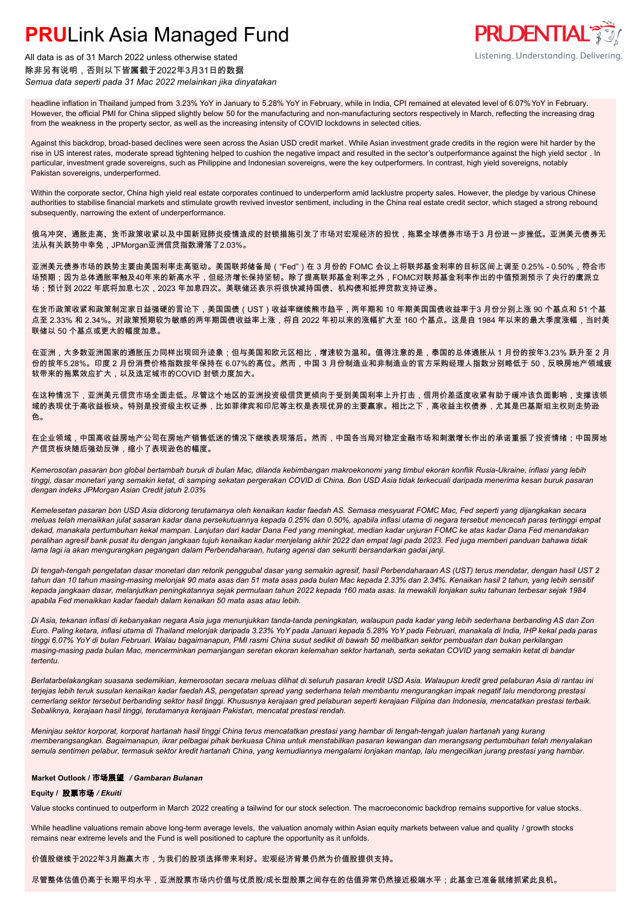

All data is as of 31 March 2022 unless otherwise stated 除非另有说明,否则以下皆属截于2022年3月31日的数据 *Semua data seperti pada 31 Mac 2022 melainkan jika dinyatakan*

headline inflation in Thailand jumped from 3.23% YoY in January to 5.28% YoY in February, while in India, CPI remained at elevated level of 6.07% YoY in February. However, the official PMI for China slipped slightly below 50 for the manufacturing and non-manufacturing sectors respectively in March, reflecting the increasing drag from the weakness in the property sector, as well as the increasing intensity of COVID lockdowns in selected cities.

Against this backdrop, broad-based declines were seen across the Asian USD credit market . While Asian investment grade credits in the region were hit harder by the rise in US interest rates, moderate spread tightening helped to cushion the negative impact and resulted in the sector's outperformance against the high yield sector . In particular, investment grade sovereigns, such as Philippine and Indonesian sovereigns, were the key outperformers. In contrast, high yield sovereigns, notably Pakistan sovereigns, underperformed.

Within the corporate sector, China high yield real estate corporates continued to underperform amid lacklustre property sales. However, the pledge by various Chinese authorities to stabilise financial markets and stimulate growth revived investor sentiment, including in the China real estate credit sector, which staged a strong rebound subsequently, narrowing the extent of underperformance.

俄乌冲突、通胀走高、货币政策收紧以及中国新冠肺炎疫情造成的封锁措施引发了市场对宏观经济的担忧,拖累全球债券市场于3 月份进一步挫低。亚洲美元债券无 法从有关跌势中幸免,JPMorgan亚洲信贷指数滑落了2.03%。

亚洲美元债券市场的跌势主要由美国利率走高驱动。美国联邦储备局("Fed")在 3 月份的 FOMC 会议上将联邦基金利率的目标区间上调至 0.25% - 0.50%,符合市 场预期;因为总体通胀率触及40年来的新高水平,但经济增长保持坚韧。除了提高联邦基金利率之外,FOMC对联邦基金利率作出的中值预测预示了央行的鹰派立 场;预计到 2022 年底将加息七次,2023 年加息四次。美联储还表示将很快减持国债、机构债和抵押贷款支持证券。

在货币政策收紧和政策制定家日益强硬的言论下,美国国债(UST)收益率继续熊巿趋平,两年期和 10 年期美国国债收益率于3 月份分别上涨 90 个基点和 51 个基 点至 2.33% 和 2.34%。对政策预期较为敏感的两年期国债收益率上涨,将自 2022 年初以来的涨幅扩大至 160 个基点。这是自 1984 年以来的最大季度涨幅,当时美 联储以 50 个基点或更大的幅度加息。

在亚洲,大多数亚洲国家的通胀压力同样出现回升迹象;但与美国和欧元区相比,增速较为温和。值得注意的是,泰国的总体通胀从 1 月份的按年3.23% 跃升至 2 月 份的按年5.28%。印度 2 月份消费价格指数按年保持在 6.07%的高位。然而,中国 3 月份制造业和非制造业的官方采购经理人指数分别略低于 50,反映房地产领域疲 软带来的拖累效应扩大,以及选定城市的COVID 封锁力度加大。

在这种情况下,亚洲美元信贷市场全面走低。尽管这个地区的亚洲投资级信贷更倾向于受到美国利率上升打击,信用价差适度收紧有助于缓冲该负面影响,支撑该领 域的表现优于高收益板块。特别是投资级主权证券,比如菲律宾和印尼等主权是表现优异的主要赢家。相比之下,高收益主权债券,尤其是巴基斯坦主权则走势逊 色。

在企业领域,中国高收益房地产公司在房地产销售低迷的情况下继续表现落后。然而,中国各当局对稳定金融市场和刺激增长作出的承诺重振了投资情绪;中国房地 产信贷板块随后强劲反弹,缩小了表现逊色的幅度。

*Kemerosotan pasaran bon global bertambah buruk di bulan Mac, dilanda kebimbangan makroekonomi yang timbul ekoran konflik Rusia-Ukraine, inflasi yang lebih tinggi, dasar monetari yang semakin ketat, di samping sekatan pergerakan COVID di China. Bon USD Asia tidak terkecuali daripada menerima kesan buruk pasaran dengan indeks JPMorgan Asian Credit jatuh 2.03%*

*Kemelesetan pasaran bon USD Asia didorong terutamanya oleh kenaikan kadar faedah AS. Semasa mesyuarat FOMC Mac, Fed seperti yang dijangkakan secara meluas telah menaikkan julat sasaran kadar dana persekutuannya kepada 0.25% dan 0.50%, apabila inflasi utama di negara tersebut mencecah paras tertinggi empat dekad, manakala pertumbuhan kekal mampan. Lanjutan dari kadar Dana Fed yang meningkat, median kadar unjuran FOMC ke atas kadar Dana Fed menandakan peralihan agresif bank pusat itu dengan jangkaan tujuh kenaikan kadar menjelang akhir 2022 dan empat lagi pada 2023. Fed juga memberi panduan bahawa tidak lama lagi ia akan mengurangkan pegangan dalam Perbendaharaan, hutang agensi dan sekuriti bersandarkan gadai janji.*

*Di tengah-tengah pengetatan dasar monetari dan retorik penggubal dasar yang semakin agresif, hasil Perbendaharaan AS (UST) terus mendatar, dengan hasil UST 2 tahun dan 10 tahun masing-masing melonjak 90 mata asas dan 51 mata asas pada bulan Mac kepada 2.33% dan 2.34%. Kenaikan hasil 2 tahun, yang lebih sensitif kepada jangkaan dasar, melanjutkan peningkatannya sejak permulaan tahun 2022 kepada 160 mata asas. Ia mewakili lonjakan suku tahunan terbesar sejak 1984 apabila Fed menaikkan kadar faedah dalam kenaikan 50 mata asas atau lebih.*

*Di Asia, tekanan inflasi di kebanyakan negara Asia juga menunjukkan tanda-tanda peningkatan, walaupun pada kadar yang lebih sederhana berbanding AS dan Zon Euro. Paling ketara, inflasi utama di Thailand melonjak daripada 3.23% YoY pada Januari kepada 5.28% YoY pada Februari, manakala di India, IHP kekal pada paras tinggi 6.07% YoY di bulan Februari. Walau bagaimanapun, PMI rasmi China susut sedikit di bawah 50 melibatkan sektor pembuatan dan bukan perkilangan masing-masing pada bulan Mac, mencerminkan pemanjangan seretan ekoran kelemahan sektor hartanah, serta sekatan COVID yang semakin ketat di bandar tertentu.*

*Berlatarbelakangkan suasana sedemikian, kemerosotan secara meluas dilihat di seluruh pasaran kredit USD Asia. Walaupun kredit gred pelaburan Asia di rantau ini terjejas lebih teruk susulan kenaikan kadar faedah AS, pengetatan spread yang sederhana telah membantu mengurangkan impak negatif lalu mendorong prestasi cemerlang sektor tersebut berbanding sektor hasil tinggi. Khususnya kerajaan gred pelaburan seperti kerajaan Filipina dan Indonesia, mencatatkan prestasi terbaik. Sebaliknya, kerajaan hasil tinggi, terutamanya kerajaan Pakistan, mencatat prestasi rendah.*

*Meninjau sektor korporat, korporat hartanah hasil tinggi China terus mencatatkan prestasi yang hambar di tengah-tengah jualan hartanah yang kurang memberangsangkan. Bagaimanapun, ikrar pelbagai pihak berkuasa China untuk menstabilkan pasaran kewangan dan merangsang pertumbuhan telah menyalakan semula sentimen pelabur, termasuk sektor kredit hartanah China, yang kemudiannya mengalami lonjakan mantap, lalu mengecilkan jurang prestasi yang hambar.*

### **Market Outlook /** 市场展望 */ Gambaran Bulanan*

#### **Equity /** 股票市场 */ Ekuiti .*

Value stocks continued to outperform in March 2022 creating a tailwind for our stock selection. The macroeconomic backdrop remains supportive for value stocks.

While headline valuations remain above long-term average levels, the valuation anomaly within Asian equity markets between value and quality / growth stocks remains near extreme levels and the Fund is well positioned to capture the opportunity as it unfolds.

价值股继续于2022年3月跑赢大市,为我们的股项选择带来利好。宏观经济背景仍然为价值股提供支持。

尽管整体估值仍高于长期平均水平,亚洲股票市场内价值与优质股/成长型股票之间存在的估值异常仍然接近极端水平;此基金已准备就绪抓紧此良机。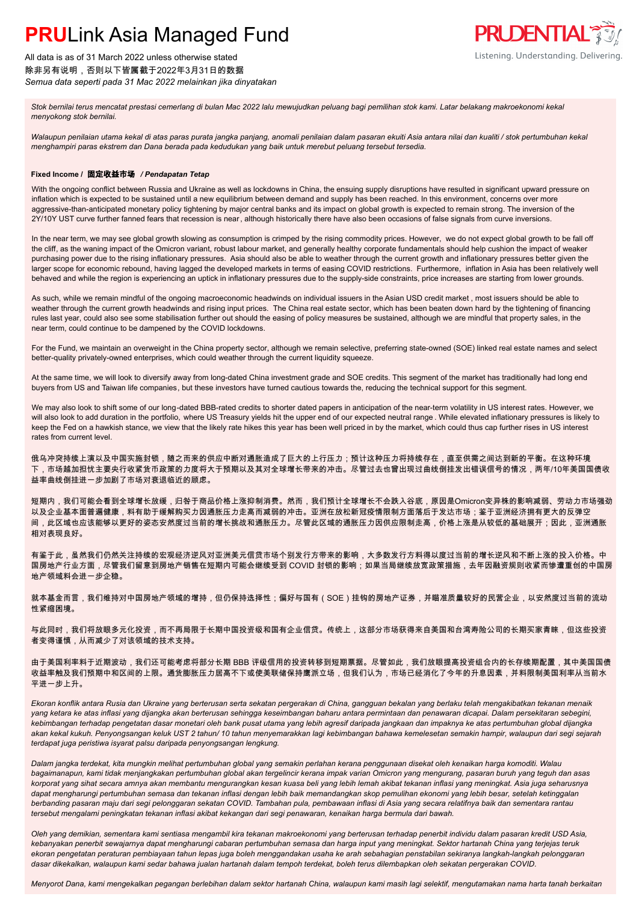All data is as of 31 March 2022 unless otherwise stated 除非另有说明,否则以下皆属截于2022年3月31日的数据 *Semua data seperti pada 31 Mac 2022 melainkan jika dinyatakan*

*Stok bernilai terus mencatat prestasi cemerlang di bulan Mac 2022 lalu mewujudkan peluang bagi pemilihan stok kami. Latar belakang makroekonomi kekal menyokong stok bernilai.*

*Walaupun penilaian utama kekal di atas paras purata jangka panjang, anomali penilaian dalam pasaran ekuiti Asia antara nilai dan kualiti / stok pertumbuhan kekal menghampiri paras ekstrem dan Dana berada pada kedudukan yang baik untuk merebut peluang tersebut tersedia.*

**PRUDENTIAL FILL** 

Listening. Understanding. Delivering.

### **Fixed Income /** 固定收益市场 */ Pendapatan Tetap*

With the ongoing conflict between Russia and Ukraine as well as lockdowns in China, the ensuing supply disruptions have resulted in significant upward pressure on inflation which is expected to be sustained until a new equilibrium between demand and supply has been reached. In this environment, concerns over more aggressive-than-anticipated monetary policy tightening by major central banks and its impact on global growth is expected to remain strong. The inversion of the 2Y/10Y UST curve further fanned fears that recession is near, although historically there have also been occasions of false signals from curve inversions.

In the near term, we may see global growth slowing as consumption is crimped by the rising commodity prices. However, we do not expect global growth to be fall off the cliff, as the waning impact of the Omicron variant, robust labour market, and generally healthy corporate fundamentals should help cushion the impact of weaker purchasing power due to the rising inflationary pressures. Asia should also be able to weather through the current growth and inflationary pressures better given the larger scope for economic rebound, having lagged the developed markets in terms of easing COVID restrictions. Furthermore, inflation in Asia has been relatively well behaved and while the region is experiencing an uptick in inflationary pressures due to the supply-side constraints, price increases are starting from lower grounds.

As such, while we remain mindful of the ongoing macroeconomic headwinds on individual issuers in the Asian USD credit market , most issuers should be able to weather through the current growth headwinds and rising input prices. The China real estate sector, which has been beaten down hard by the tightening of financing rules last year, could also see some stabilisation further out should the easing of policy measures be sustained, although we are mindful that property sales, in the near term, could continue to be dampened by the COVID lockdowns.

For the Fund, we maintain an overweight in the China property sector, although we remain selective, preferring state-owned (SOE) linked real estate names and select better-quality privately-owned enterprises, which could weather through the current liquidity squeeze.

At the same time, we will look to diversify away from long-dated China investment grade and SOE credits. This segment of the market has traditionally had long end buyers from US and Taiwan life companies, but these investors have turned cautious towards the, reducing the technical support for this segment.

We may also look to shift some of our long-dated BBB-rated credits to shorter dated papers in anticipation of the near-term volatility in US interest rates. However, we will also look to add duration in the portfolio, where US Treasury yields hit the upper end of our expected neutral range . While elevated inflationary pressures is likely to keep the Fed on a hawkish stance, we view that the likely rate hikes this year has been well priced in by the market, which could thus cap further rises in US interest rates from current level.

俄乌冲突持续上演以及中国实施封锁,随之而来的供应中断对通胀造成了巨大的上行压力;预计这种压力将持续存在,直至供需之间达到新的平衡。在这种环境 下,市场越加担忧主要央行收紧货币政策的力度将大于预期以及其对全球增长带来的冲击。尽管过去也曾出现过曲线倒挂发出错误信号的情况,两年/10年美国国债收 益率曲线倒挂进一步加剧了市场对衰退临近的顾虑。

短期内,我们可能会看到全球增长放缓,归咎于商品价格上涨抑制消费。然而,我们预计全球增长不会跌入谷底,原因是Omicron变异株的影响减弱、劳动力市场强劲 以及企业基本面普遍健康,料有助于缓解购买力因通胀压力走高而减弱的冲击。亚洲在放松新冠疫情限制方面落后于发达市场;鉴于亚洲经济拥有更大的反弹空 间,此区域也应该能够以更好的姿态安然度过当前的增长挑战和通胀压力。尽管此区域的通胀压力因供应限制走高,价格上涨是从较低的基础展开;因此,亚洲通胀 相对表现良好。

有鉴于此,虽然我们仍然关注持续的宏观经济逆风对亚洲美元信贷市场个别发行方带来的影响,大多数发行方料得以度过当前的增长逆风和不断上涨的投入价格。中 国房地产行业方面,尽管我们留意到房地产销售在短期内可能会继续受到 COVID 封锁的影响;如果当局继续放宽政策措施,去年因融资规则收紧而惨遭重创的中国房 地产领域料会进一步企稳。

就本基金而言,我们维持对中国房地产领域的增持,但仍保持选择性;偏好与国有(SOE)挂钩的房地产证券,并瞄准质量较好的民营企业,以安然度过当前的流动 性紧缩困境。

与此同时,我们将放眼多元化投资,而不再局限于长期中国投资级和国有企业信贷。传统上,这部分市场获得来自美国和台湾寿险公司的长期买家青睐,但这些投资 者变得谨慎,从而减少了对该领域的技术支持。

由于美国利率料于近期波动,我们还可能考虑将部分长期 BBB 评级信用的投资转移到短期票据。尽管如此,我们放眼提高投资组合内的长存续期配置,其中美国国债 收益率触及我们预期中和区间的上限。通货膨胀压力居高不下或使美联储保持鹰派立场,但我们认为,市场已经消化了今年的升息因素,并料限制美国利率从当前水 平进一步上升。

*Ekoran konflik antara Rusia dan Ukraine yang berterusan serta sekatan pergerakan di China, gangguan bekalan yang berlaku telah mengakibatkan tekanan menaik yang ketara ke atas inflasi yang dijangka akan berterusan sehingga keseimbangan baharu antara permintaan dan penawaran dicapai. Dalam persekitaran sebegini, kebimbangan terhadap pengetatan dasar monetari oleh bank pusat utama yang lebih agresif daripada jangkaan dan impaknya ke atas pertumbuhan global dijangka akan kekal kukuh. Penyongsangan keluk UST 2 tahun/ 10 tahun menyemarakkan lagi kebimbangan bahawa kemelesetan semakin hampir, walaupun dari segi sejarah terdapat juga peristiwa isyarat palsu daripada penyongsangan lengkung.*

*Dalam jangka terdekat, kita mungkin melihat pertumbuhan global yang semakin perlahan kerana penggunaan disekat oleh kenaikan harga komoditi. Walau bagaimanapun, kami tidak menjangkakan pertumbuhan global akan tergelincir kerana impak varian Omicron yang mengurang, pasaran buruh yang teguh dan asas korporat yang sihat secara amnya akan membantu mengurangkan kesan kuasa beli yang lebih lemah akibat tekanan inflasi yang meningkat. Asia juga seharusnya dapat mengharungi pertumbuhan semasa dan tekanan inflasi dengan lebih baik memandangkan skop pemulihan ekonomi yang lebih besar, setelah ketinggalan berbanding pasaran maju dari segi pelonggaran sekatan COVID. Tambahan pula, pembawaan inflasi di Asia yang secara relatifnya baik dan sementara rantau tersebut mengalami peningkatan tekanan inflasi akibat kekangan dari segi penawaran, kenaikan harga bermula dari bawah.*

*Oleh yang demikian, sementara kami sentiasa mengambil kira tekanan makroekonomi yang berterusan terhadap penerbit individu dalam pasaran kredit USD Asia, kebanyakan penerbit sewajarnya dapat mengharungi cabaran pertumbuhan semasa dan harga input yang meningkat. Sektor hartanah China yang terjejas teruk ekoran pengetatan peraturan pembiayaan tahun lepas juga boleh menggandakan usaha ke arah sebahagian penstabilan sekiranya langkah-langkah pelonggaran dasar dikekalkan, walaupun kami sedar bahawa jualan hartanah dalam tempoh terdekat, boleh terus dilembapkan oleh sekatan pergerakan COVID.*

*Menyorot Dana, kami mengekalkan pegangan berlebihan dalam sektor hartanah China, walaupun kami masih lagi selektif, mengutamakan nama harta tanah berkaitan*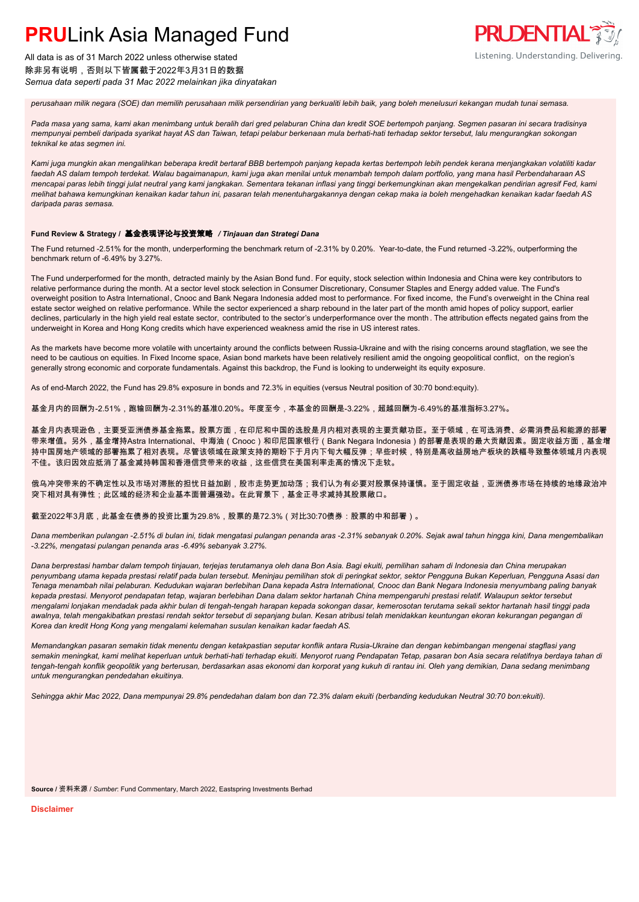

All data is as of 31 March 2022 unless otherwise stated 除非另有说明,否则以下皆属截于2022年3月31日的数据 *Semua data seperti pada 31 Mac 2022 melainkan jika dinyatakan*

*perusahaan milik negara (SOE) dan memilih perusahaan milik persendirian yang berkualiti lebih baik, yang boleh menelusuri kekangan mudah tunai semasa.*

*Pada masa yang sama, kami akan menimbang untuk beralih dari gred pelaburan China dan kredit SOE bertempoh panjang. Segmen pasaran ini secara tradisinya mempunyai pembeli daripada syarikat hayat AS dan Taiwan, tetapi pelabur berkenaan mula berhati-hati terhadap sektor tersebut, lalu mengurangkan sokongan teknikal ke atas segmen ini.*

*Kami juga mungkin akan mengalihkan beberapa kredit bertaraf BBB bertempoh panjang kepada kertas bertempoh lebih pendek kerana menjangkakan volatiliti kadar faedah AS dalam tempoh terdekat. Walau bagaimanapun, kami juga akan menilai untuk menambah tempoh dalam portfolio, yang mana hasil Perbendaharaan AS mencapai paras lebih tinggi julat neutral yang kami jangkakan. Sementara tekanan inflasi yang tinggi berkemungkinan akan mengekalkan pendirian agresif Fed, kami melihat bahawa kemungkinan kenaikan kadar tahun ini, pasaran telah menentuhargakannya dengan cekap maka ia boleh mengehadkan kenaikan kadar faedah AS daripada paras semasa.*

#### **Fund Review & Strategy /** 基金表现评论与投资策略 */ Tinjauan dan Strategi Dana*

The Fund returned -2.51% for the month, underperforming the benchmark return of -2.31% by 0.20%. Year-to-date, the Fund returned -3.22%, outperforming the benchmark return of -6.49% by 3.27%.

The Fund underperformed for the month, detracted mainly by the Asian Bond fund. For equity, stock selection within Indonesia and China were key contributors to relative performance during the month. At a sector level stock selection in Consumer Discretionary, Consumer Staples and Energy added value. The Fund's overweight position to Astra International, Cnooc and Bank Negara Indonesia added most to performance. For fixed income, the Fund's overweight in the China real estate sector weighed on relative performance. While the sector experienced a sharp rebound in the later part of the month amid hopes of policy support, earlier declines, particularly in the high yield real estate sector, contributed to the sector's underperformance over the month. The attribution effects negated gains from the underweight in Korea and Hong Kong credits which have experienced weakness amid the rise in US interest rates.

As the markets have become more volatile with uncertainty around the conflicts between Russia-Ukraine and with the rising concerns around stagflation, we see the need to be cautious on equities. In Fixed Income space, Asian bond markets have been relatively resilient amid the ongoing geopolitical conflict, on the region's generally strong economic and corporate fundamentals. Against this backdrop, the Fund is looking to underweight its equity exposure.

As of end-March 2022, the Fund has 29.8% exposure in bonds and 72.3% in equities (versus Neutral position of 30:70 bond:equity).

基金月内的回酬为-2.51%,跑输回酬为-2.31%的基准0.20%。年度至今,本基金的回酬是-3.22%,超越回酬为-6.49%的基准指标3.27%。

基金月内表现逊色,主要受亚洲债券基金拖累。股票方面,在印尼和中国的选股是月内相对表现的主要贡献功臣。至于领域,在可选消费、必需消费品和能源的部署 带来增值。另外,基金增持Astra International、中海油(Cnooc)和印尼国家银行(Bank Negara Indonesia)的部署是表现的最大贡献因素。固定收益方面,基金增 持中国房地产领域的部署拖累了相对表现。尽管该领域在政策支持的期盼下于月内下旬大幅反弹;早些时候,特别是高收益房地产板块的跌幅导致整体领域月内表现 不佳。该归因效应抵消了基金减持韩国和香港信贷带来的收益,这些信贷在美国利率走高的情况下走软。

俄乌冲突带来的不确定性以及市场对滞胀的担忧日益加剧,股市走势更加动荡;我们认为有必要对股票保持谨慎。至于固定收益,亚洲债券市场在持续的地缘政治冲 突下相对具有弹性;此区域的经济和企业基本面普遍强劲。在此背景下,基金正寻求减持其股票敞口。

### 截至2022年3月底,此基金在债券的投资比重为29.8%,股票的是72.3%(对比30:70债券:股票的中和部署)。

*Dana memberikan pulangan -2.51% di bulan ini, tidak mengatasi pulangan penanda aras -2.31% sebanyak 0.20%. Sejak awal tahun hingga kini, Dana mengembalikan -3.22%, mengatasi pulangan penanda aras -6.49% sebanyak 3.27%.*

*Dana berprestasi hambar dalam tempoh tinjauan, terjejas terutamanya oleh dana Bon Asia. Bagi ekuiti, pemilihan saham di Indonesia dan China merupakan penyumbang utama kepada prestasi relatif pada bulan tersebut. Meninjau pemilihan stok di peringkat sektor, sektor Pengguna Bukan Keperluan, Pengguna Asasi dan Tenaga menambah nilai pelaburan. Kedudukan wajaran berlebihan Dana kepada Astra International, Cnooc dan Bank Negara Indonesia menyumbang paling banyak kepada prestasi. Menyorot pendapatan tetap, wajaran berlebihan Dana dalam sektor hartanah China mempengaruhi prestasi relatif. Walaupun sektor tersebut mengalami lonjakan mendadak pada akhir bulan di tengah-tengah harapan kepada sokongan dasar, kemerosotan terutama sekali sektor hartanah hasil tinggi pada awalnya, telah mengakibatkan prestasi rendah sektor tersebut di sepanjang bulan. Kesan atribusi telah menidakkan keuntungan ekoran kekurangan pegangan di Korea dan kredit Hong Kong yang mengalami kelemahan susulan kenaikan kadar faedah AS.*

*Memandangkan pasaran semakin tidak menentu dengan ketakpastian seputar konflik antara Rusia-Ukraine dan dengan kebimbangan mengenai stagflasi yang semakin meningkat, kami melihat keperluan untuk berhati-hati terhadap ekuiti. Menyorot ruang Pendapatan Tetap, pasaran bon Asia secara relatifnya berdaya tahan di tengah-tengah konflik geopolitik yang berterusan, berdasarkan asas ekonomi dan korporat yang kukuh di rantau ini. Oleh yang demikian, Dana sedang menimbang untuk mengurangkan pendedahan ekuitinya.*

*Sehingga akhir Mac 2022, Dana mempunyai 29.8% pendedahan dalam bon dan 72.3% dalam ekuiti (berbanding kedudukan Neutral 30:70 bon:ekuiti).*